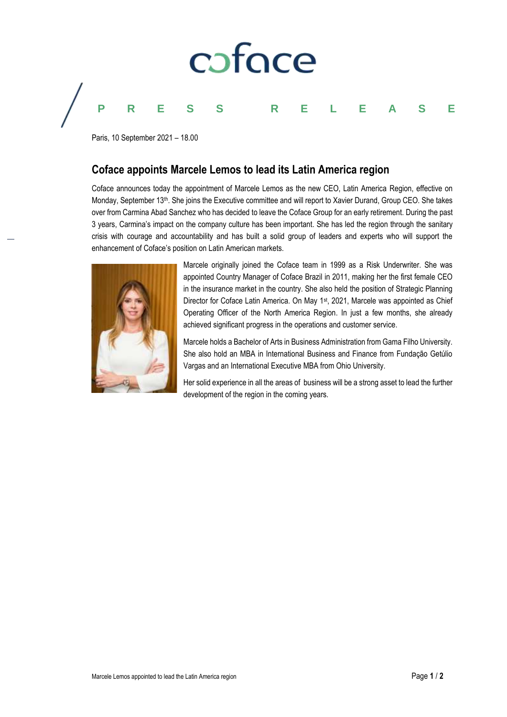

Paris, 10 September 2021 – 18.00

# **Coface appoints Marcele Lemos to lead its Latin America region**

Coface announces today the appointment of Marcele Lemos as the new CEO, Latin America Region, effective on Monday, September 13th. She joins the Executive committee and will report to Xavier Durand, Group CEO. She takes over from Carmina Abad Sanchez who has decided to leave the Coface Group for an early retirement. During the past 3 years, Carmina's impact on the company culture has been important. She has led the region through the sanitary crisis with courage and accountability and has built a solid group of leaders and experts who will support the enhancement of Coface's position on Latin American markets.



Marcele originally joined the Coface team in 1999 as a Risk Underwriter. She was appointed Country Manager of Coface Brazil in 2011, making her the first female CEO in the insurance market in the country. She also held the position of Strategic Planning Director for Coface Latin America. On May 1<sup>st</sup>, 2021, Marcele was appointed as Chief Operating Officer of the North America Region. In just a few months, she already achieved significant progress in the operations and customer service.

Marcele holds a Bachelor of Arts in Business Administration from Gama Filho University. She also hold an MBA in International Business and Finance from Fundação Getúlio Vargas and an International Executive MBA from Ohio University.

Her solid experience in all the areas of business will be a strong asset to lead the further development of the region in the coming years.